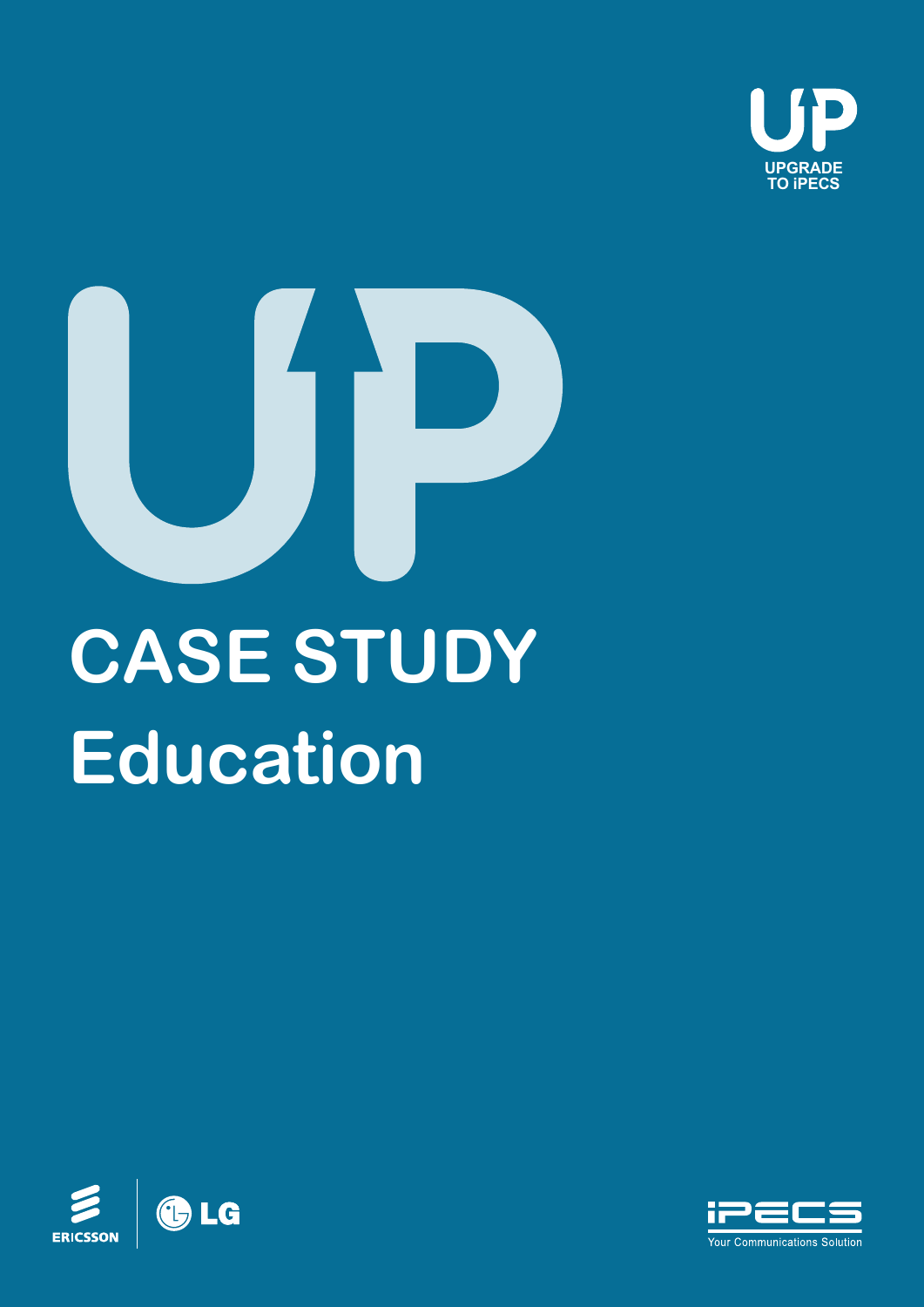



# **Education**



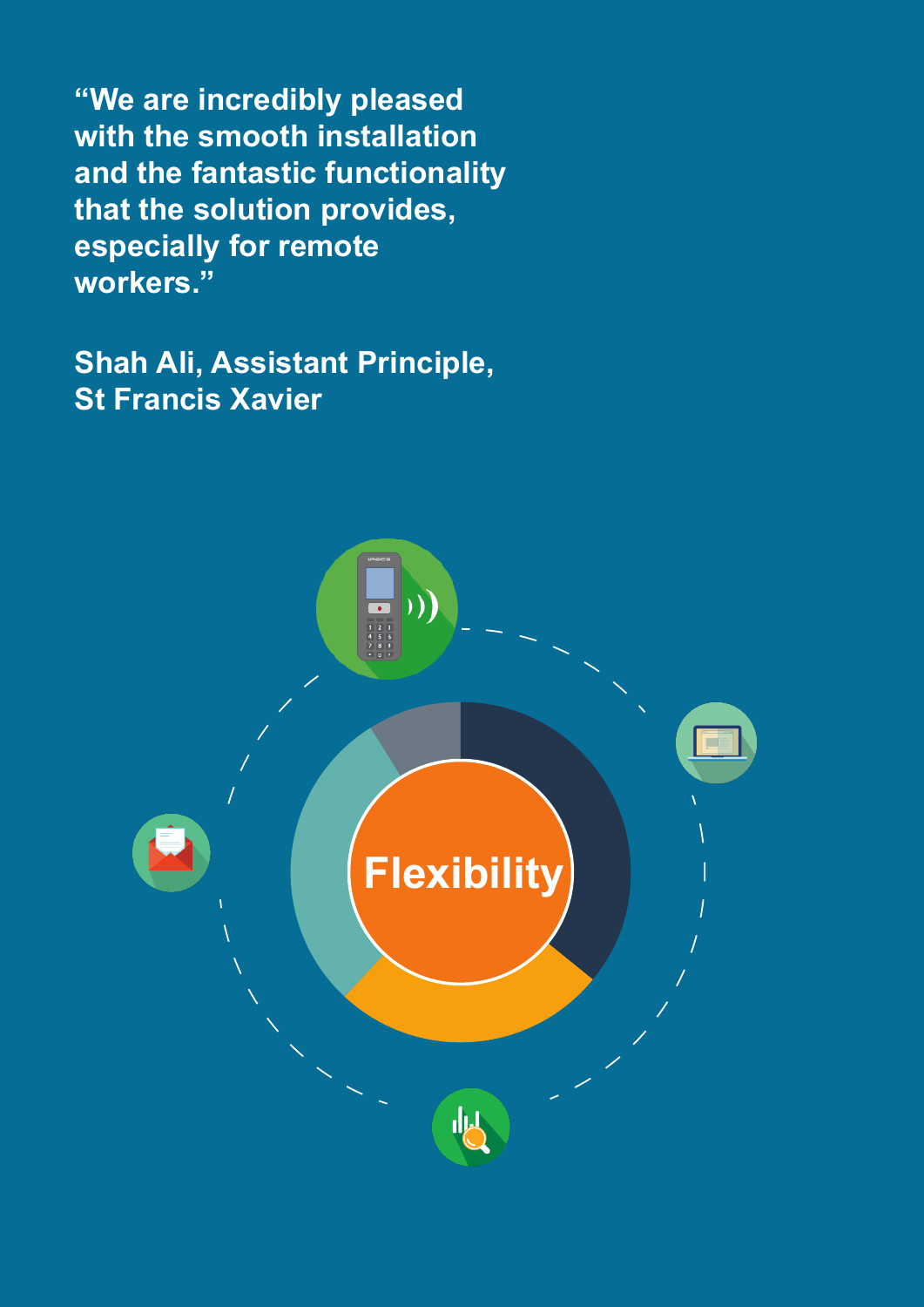**"We are incredibly pleased with the smooth installation and the fantastic functionality that the solution provides, especially for remote workers."** 

**Shah Ali, Assistant Principle, St Francis Xavier**

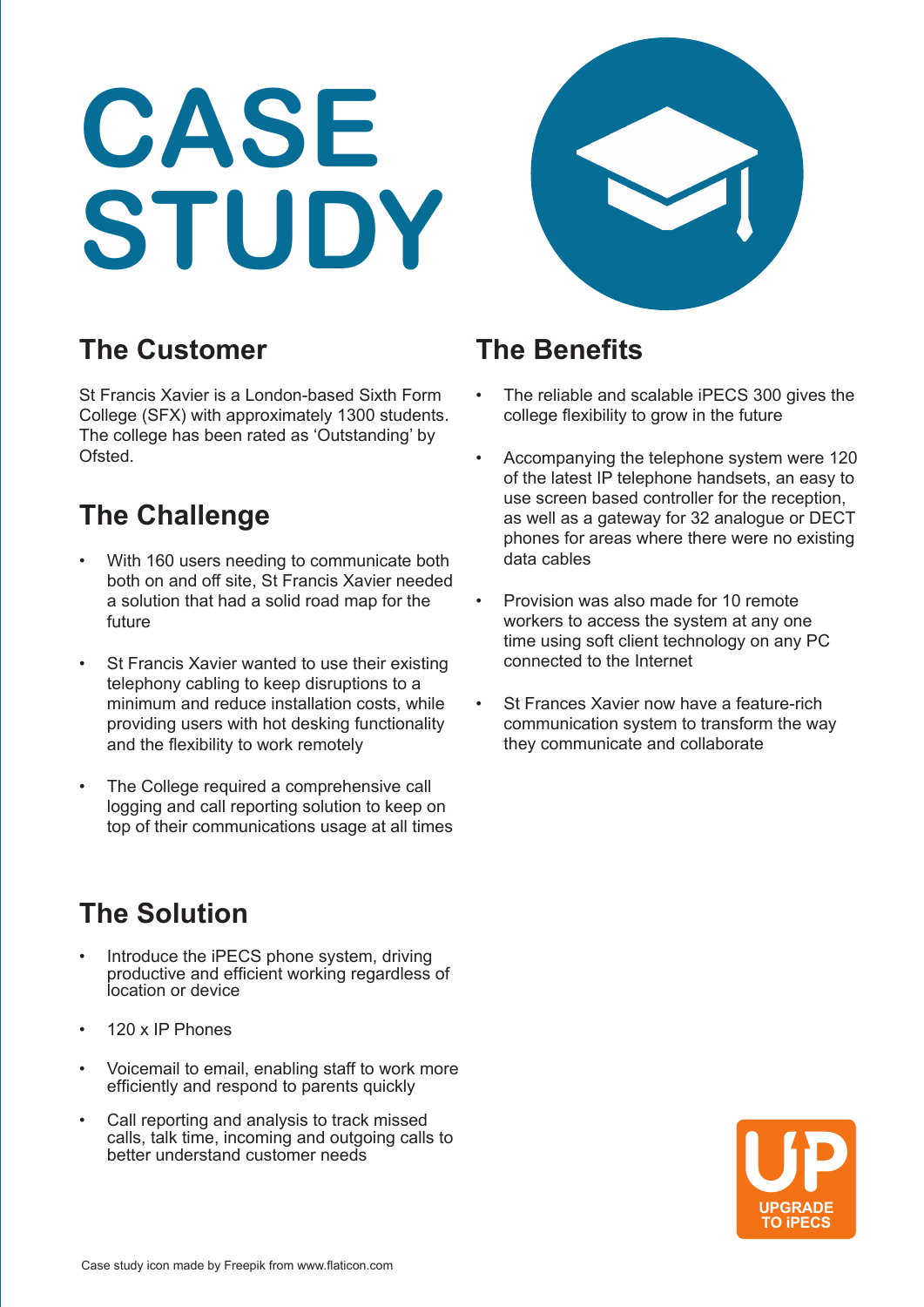## **CASE STUDY**



#### **The Customer**

St Francis Xavier is a London-based Sixth Form College (SFX) with approximately 1300 students. The college has been rated as 'Outstanding' by Ofsted.

#### **The Challenge**

- With 160 users needing to communicate both both on and off site, St Francis Xavier needed a solution that had a solid road map for the future
- St Francis Xavier wanted to use their existing telephony cabling to keep disruptions to a minimum and reduce installation costs, while providing users with hot desking functionality and the flexibility to work remotely
- The College required a comprehensive call logging and call reporting solution to keep on top of their communications usage at all times

### **The Solution**

- Introduce the iPECS phone system, driving productive and efficient working regardless of location or device
- 120 x IP Phones
- Voicemail to email, enabling staff to work more efficiently and respond to parents quickly
- Call reporting and analysis to track missed calls, talk time, incoming and outgoing calls to better understand customer needs

#### **The Benefits**

- The reliable and scalable iPECS 300 gives the college flexibility to grow in the future
- Accompanying the telephone system were 120 of the latest IP telephone handsets, an easy to use screen based controller for the reception, as well as a gateway for 32 analogue or DECT phones for areas where there were no existing data cables
- Provision was also made for 10 remote workers to access the system at any one time using soft client technology on any PC connected to the Internet
- St Frances Xavier now have a feature-rich communication system to transform the way they communicate and collaborate